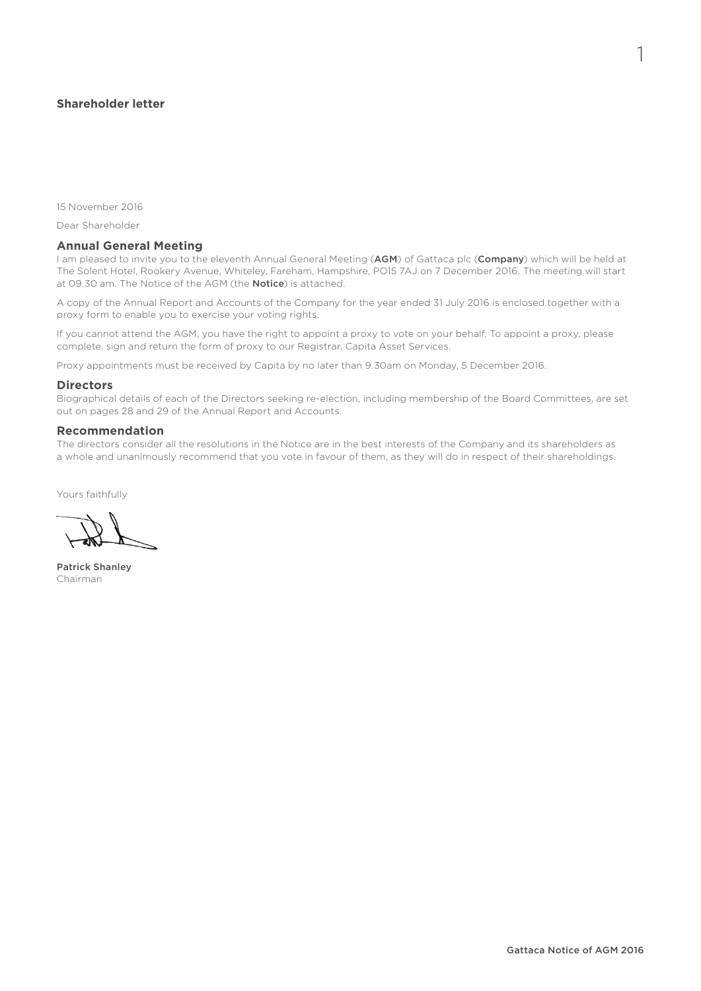# **Shareholder letter**

15 November 2016

Dear Shareholder

### **Annual General Meeting**

I am pleased to invite you to the eleventh Annual General Meeting (AGM) of Gattaca plc (Company) which will be held at The Solent Hotel, Rookery Avenue, Whiteley, Fareham, Hampshire, PO15 7AJ on 7 December 2016. The meeting will start at 09.30 am. The Notice of the AGM (the **Notice**) is attached.

A copy of the Annual Report and Accounts of the Company for the year ended 31 July 2016 is enclosed together with a proxy form to enable you to exercise your voting rights.

If you cannot attend the AGM, you have the right to appoint a proxy to vote on your behalf. To appoint a proxy, please complete, sign and return the form of proxy to our Registrar, Capita Asset Services.

Proxy appointments must be received by Capita by no later than 9.30am on Monday, 5 December 2016.

#### **Directors**

Biographical details of each of the Directors seeking re-election, including membership of the Board Committees, are set out on pages 28 and 29 of the Annual Report and Accounts.

### **Recommendation**

The directors consider all the resolutions in the Notice are in the best interests of the Company and its shareholders as a whole and unanimously recommend that you vote in favour of them, as they will do in respect of their shareholdings.

Yours faithfully

Patrick Shanley Chairman

1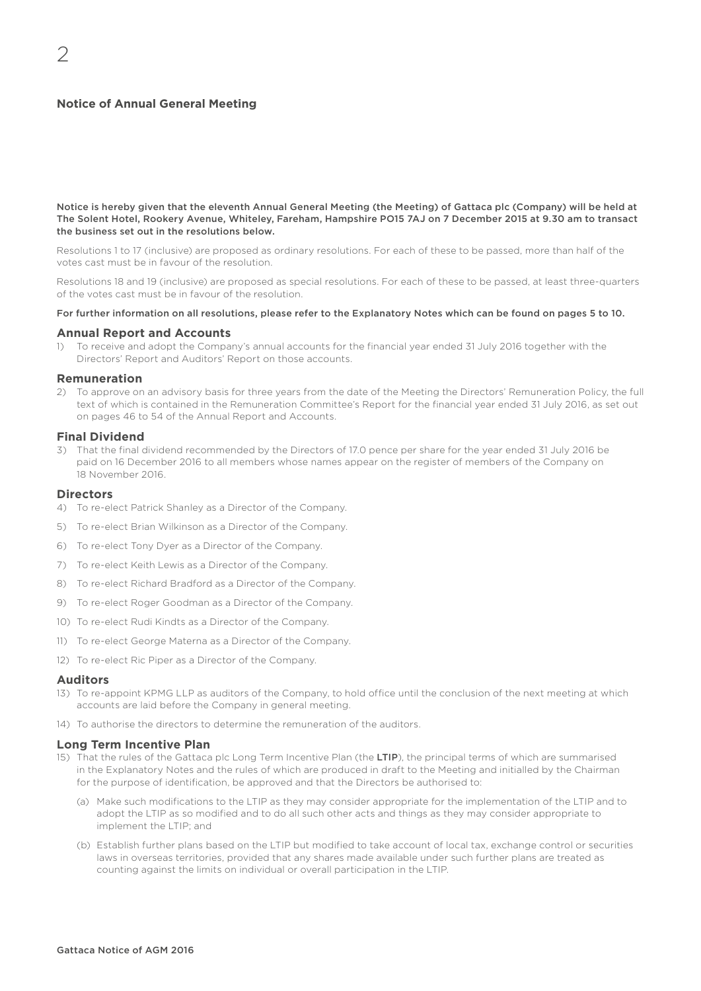# **Notice of Annual General Meeting**

Notice is hereby given that the eleventh Annual General Meeting (the Meeting) of Gattaca plc (Company) will be held at The Solent Hotel, Rookery Avenue, Whiteley, Fareham, Hampshire PO15 7AJ on 7 December 2015 at 9.30 am to transact the business set out in the resolutions below.

Resolutions 1 to 17 (inclusive) are proposed as ordinary resolutions. For each of these to be passed, more than half of the votes cast must be in favour of the resolution.

Resolutions 18 and 19 (inclusive) are proposed as special resolutions. For each of these to be passed, at least three-quarters of the votes cast must be in favour of the resolution.

#### For further information on all resolutions, please refer to the Explanatory Notes which can be found on pages 5 to 10.

#### **Annual Report and Accounts**

1) To receive and adopt the Company's annual accounts for the financial year ended 31 July 2016 together with the Directors' Report and Auditors' Report on those accounts.

#### **Remuneration**

2) To approve on an advisory basis for three years from the date of the Meeting the Directors' Remuneration Policy, the full text of which is contained in the Remuneration Committee's Report for the financial year ended 31 July 2016, as set out on pages 46 to 54 of the Annual Report and Accounts.

# **Final Dividend**

3) That the final dividend recommended by the Directors of 17.0 pence per share for the year ended 31 July 2016 be paid on 16 December 2016 to all members whose names appear on the register of members of the Company on 18 November 2016.

#### **Directors**

- 4) To re-elect Patrick Shanley as a Director of the Company.
- 5) To re-elect Brian Wilkinson as a Director of the Company.
- 6) To re-elect Tony Dyer as a Director of the Company.
- 7) To re-elect Keith Lewis as a Director of the Company.
- 8) To re-elect Richard Bradford as a Director of the Company.
- 9) To re-elect Roger Goodman as a Director of the Company.
- 10) To re-elect Rudi Kindts as a Director of the Company.
- 11) To re-elect George Materna as a Director of the Company.
- 12) To re-elect Ric Piper as a Director of the Company.

#### **Auditors**

- 13) To re-appoint KPMG LLP as auditors of the Company, to hold office until the conclusion of the next meeting at which accounts are laid before the Company in general meeting.
- 14) To authorise the directors to determine the remuneration of the auditors.

#### **Long Term Incentive Plan**

- 15) That the rules of the Gattaca plc Long Term Incentive Plan (the LTIP), the principal terms of which are summarised in the Explanatory Notes and the rules of which are produced in draft to the Meeting and initialled by the Chairman for the purpose of identification, be approved and that the Directors be authorised to:
	- (a) Make such modifications to the LTIP as they may consider appropriate for the implementation of the LTIP and to adopt the LTIP as so modified and to do all such other acts and things as they may consider appropriate to implement the LTIP; and
	- (b) Establish further plans based on the LTIP but modified to take account of local tax, exchange control or securities laws in overseas territories, provided that any shares made available under such further plans are treated as counting against the limits on individual or overall participation in the LTIP.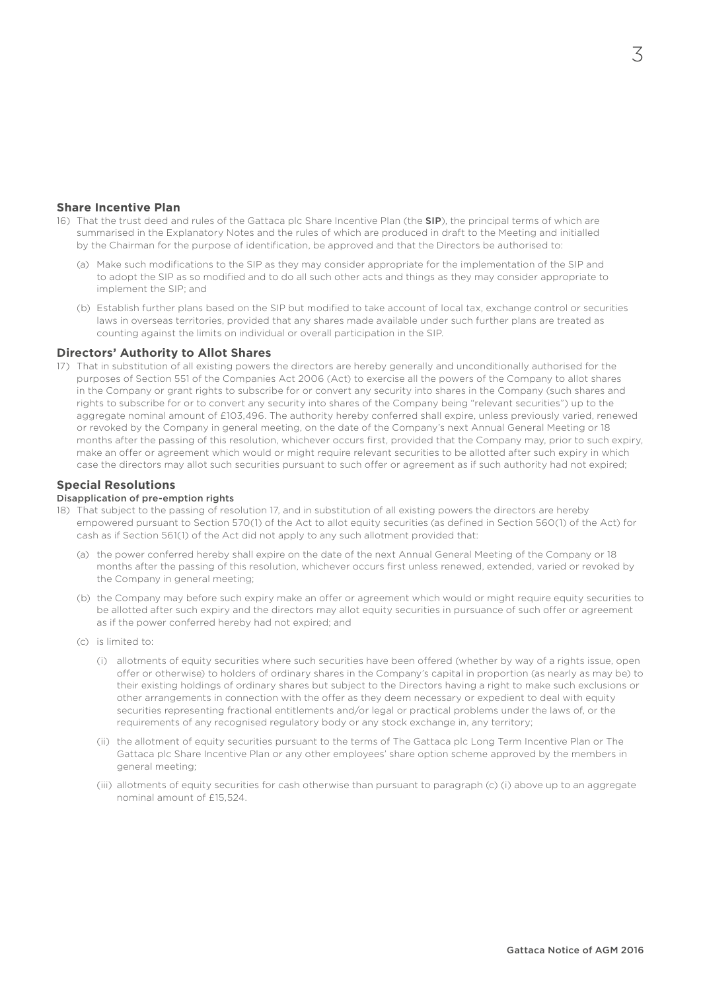# **Share Incentive Plan**

- 16) That the trust deed and rules of the Gattaca plc Share Incentive Plan (the SIP), the principal terms of which are summarised in the Explanatory Notes and the rules of which are produced in draft to the Meeting and initialled by the Chairman for the purpose of identification, be approved and that the Directors be authorised to:
	- (a) Make such modifications to the SIP as they may consider appropriate for the implementation of the SIP and to adopt the SIP as so modified and to do all such other acts and things as they may consider appropriate to implement the SIP; and
	- (b) Establish further plans based on the SIP but modified to take account of local tax, exchange control or securities laws in overseas territories, provided that any shares made available under such further plans are treated as counting against the limits on individual or overall participation in the SIP.

# **Directors' Authority to Allot Shares**

17) That in substitution of all existing powers the directors are hereby generally and unconditionally authorised for the purposes of Section 551 of the Companies Act 2006 (Act) to exercise all the powers of the Company to allot shares in the Company or grant rights to subscribe for or convert any security into shares in the Company (such shares and rights to subscribe for or to convert any security into shares of the Company being "relevant securities") up to the aggregate nominal amount of £103,496. The authority hereby conferred shall expire, unless previously varied, renewed or revoked by the Company in general meeting, on the date of the Company's next Annual General Meeting or 18 months after the passing of this resolution, whichever occurs first, provided that the Company may, prior to such expiry, make an offer or agreement which would or might require relevant securities to be allotted after such expiry in which case the directors may allot such securities pursuant to such offer or agreement as if such authority had not expired;

# **Special Resolutions**

#### Disapplication of pre-emption rights

- 18) That subject to the passing of resolution 17, and in substitution of all existing powers the directors are hereby empowered pursuant to Section 570(1) of the Act to allot equity securities (as defined in Section 560(1) of the Act) for cash as if Section 561(1) of the Act did not apply to any such allotment provided that:
	- (a) the power conferred hereby shall expire on the date of the next Annual General Meeting of the Company or 18 months after the passing of this resolution, whichever occurs first unless renewed, extended, varied or revoked by the Company in general meeting;
	- (b) the Company may before such expiry make an offer or agreement which would or might require equity securities to be allotted after such expiry and the directors may allot equity securities in pursuance of such offer or agreement as if the power conferred hereby had not expired; and
	- (c) is limited to:
		- (i) allotments of equity securities where such securities have been offered (whether by way of a rights issue, open offer or otherwise) to holders of ordinary shares in the Company's capital in proportion (as nearly as may be) to their existing holdings of ordinary shares but subject to the Directors having a right to make such exclusions or other arrangements in connection with the offer as they deem necessary or expedient to deal with equity securities representing fractional entitlements and/or legal or practical problems under the laws of, or the requirements of any recognised regulatory body or any stock exchange in, any territory;
		- (ii) the allotment of equity securities pursuant to the terms of The Gattaca plc Long Term Incentive Plan or The Gattaca plc Share Incentive Plan or any other employees' share option scheme approved by the members in general meeting;
		- (iii) allotments of equity securities for cash otherwise than pursuant to paragraph (c) (i) above up to an aggregate nominal amount of £15,524.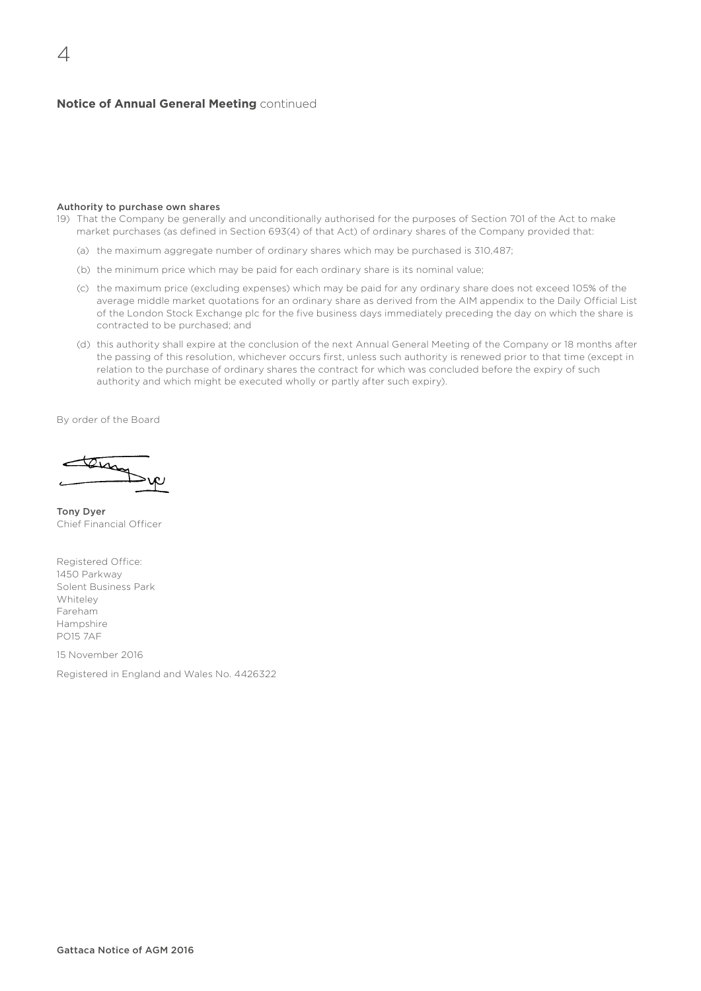# **Notice of Annual General Meeting** continued

#### Authority to purchase own shares

- 19) That the Company be generally and unconditionally authorised for the purposes of Section 701 of the Act to make market purchases (as defined in Section 693(4) of that Act) of ordinary shares of the Company provided that:
	- (a) the maximum aggregate number of ordinary shares which may be purchased is 310,487;
	- (b) the minimum price which may be paid for each ordinary share is its nominal value;
	- (c) the maximum price (excluding expenses) which may be paid for any ordinary share does not exceed 105% of the average middle market quotations for an ordinary share as derived from the AIM appendix to the Daily Official List of the London Stock Exchange plc for the five business days immediately preceding the day on which the share is contracted to be purchased; and
	- (d) this authority shall expire at the conclusion of the next Annual General Meeting of the Company or 18 months after the passing of this resolution, whichever occurs first, unless such authority is renewed prior to that time (except in relation to the purchase of ordinary shares the contract for which was concluded before the expiry of such authority and which might be executed wholly or partly after such expiry).

By order of the Board

tem

Tony Dyer Chief Financial Officer

Registered Office: 1450 Parkway Solent Business Park Whiteley Fareham Hampshire PO15 7AF

15 November 2016

Registered in England and Wales No. 4426322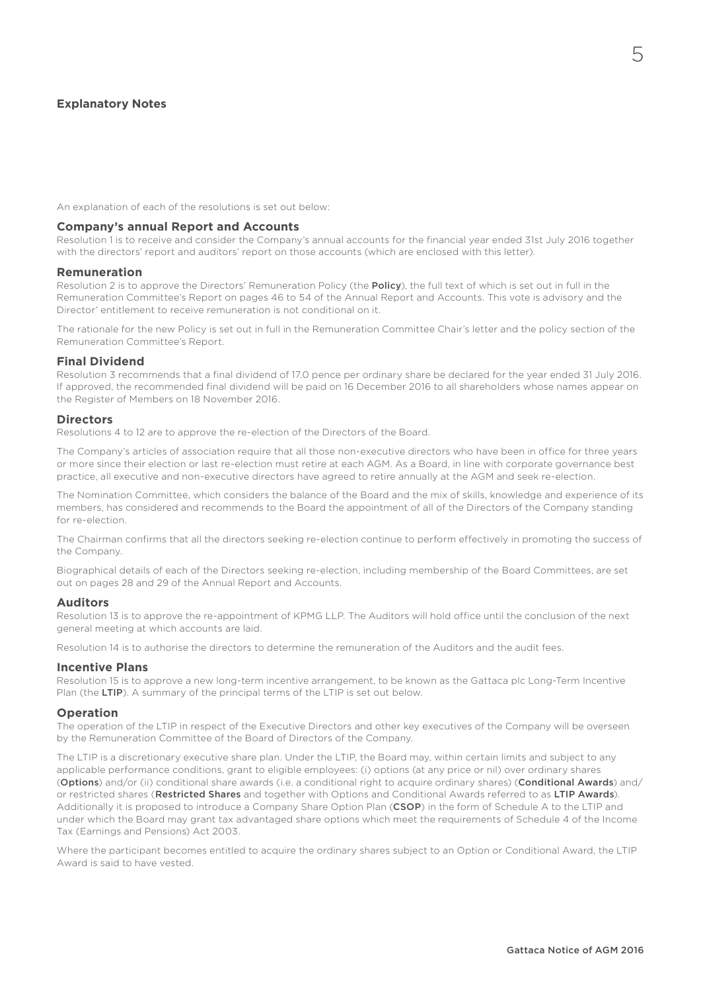# **Explanatory Notes**

An explanation of each of the resolutions is set out below:

#### **Company's annual Report and Accounts**

Resolution 1 is to receive and consider the Company's annual accounts for the financial year ended 31st July 2016 together with the directors' report and auditors' report on those accounts (which are enclosed with this letter).

#### **Remuneration**

Resolution 2 is to approve the Directors' Remuneration Policy (the Policy), the full text of which is set out in full in the Remuneration Committee's Report on pages 46 to 54 of the Annual Report and Accounts. This vote is advisory and the Director' entitlement to receive remuneration is not conditional on it.

The rationale for the new Policy is set out in full in the Remuneration Committee Chair's letter and the policy section of the Remuneration Committee's Report.

### **Final Dividend**

Resolution 3 recommends that a final dividend of 17.0 pence per ordinary share be declared for the year ended 31 July 2016. If approved, the recommended final dividend will be paid on 16 December 2016 to all shareholders whose names appear on the Register of Members on 18 November 2016.

### **Directors**

Resolutions 4 to 12 are to approve the re-election of the Directors of the Board.

The Company's articles of association require that all those non-executive directors who have been in office for three years or more since their election or last re-election must retire at each AGM. As a Board, in line with corporate governance best practice, all executive and non-executive directors have agreed to retire annually at the AGM and seek re-election.

The Nomination Committee, which considers the balance of the Board and the mix of skills, knowledge and experience of its members, has considered and recommends to the Board the appointment of all of the Directors of the Company standing for re-election.

The Chairman confirms that all the directors seeking re-election continue to perform effectively in promoting the success of the Company.

Biographical details of each of the Directors seeking re-election, including membership of the Board Committees, are set out on pages 28 and 29 of the Annual Report and Accounts.

### **Auditors**

Resolution 13 is to approve the re-appointment of KPMG LLP. The Auditors will hold office until the conclusion of the next general meeting at which accounts are laid.

Resolution 14 is to authorise the directors to determine the remuneration of the Auditors and the audit fees.

### **Incentive Plans**

Resolution 15 is to approve a new long-term incentive arrangement, to be known as the Gattaca plc Long-Term Incentive Plan (the LTIP). A summary of the principal terms of the LTIP is set out below.

### **Operation**

The operation of the LTIP in respect of the Executive Directors and other key executives of the Company will be overseen by the Remuneration Committee of the Board of Directors of the Company.

The LTIP is a discretionary executive share plan. Under the LTIP, the Board may, within certain limits and subject to any applicable performance conditions, grant to eligible employees: (i) options (at any price or nil) over ordinary shares (Options) and/or (ii) conditional share awards (i.e. a conditional right to acquire ordinary shares) (Conditional Awards) and/ or restricted shares (Restricted Shares and together with Options and Conditional Awards referred to as LTIP Awards). Additionally it is proposed to introduce a Company Share Option Plan (CSOP) in the form of Schedule A to the LTIP and under which the Board may grant tax advantaged share options which meet the requirements of Schedule 4 of the Income Tax (Earnings and Pensions) Act 2003.

Where the participant becomes entitled to acquire the ordinary shares subject to an Option or Conditional Award, the LTIP Award is said to have vested.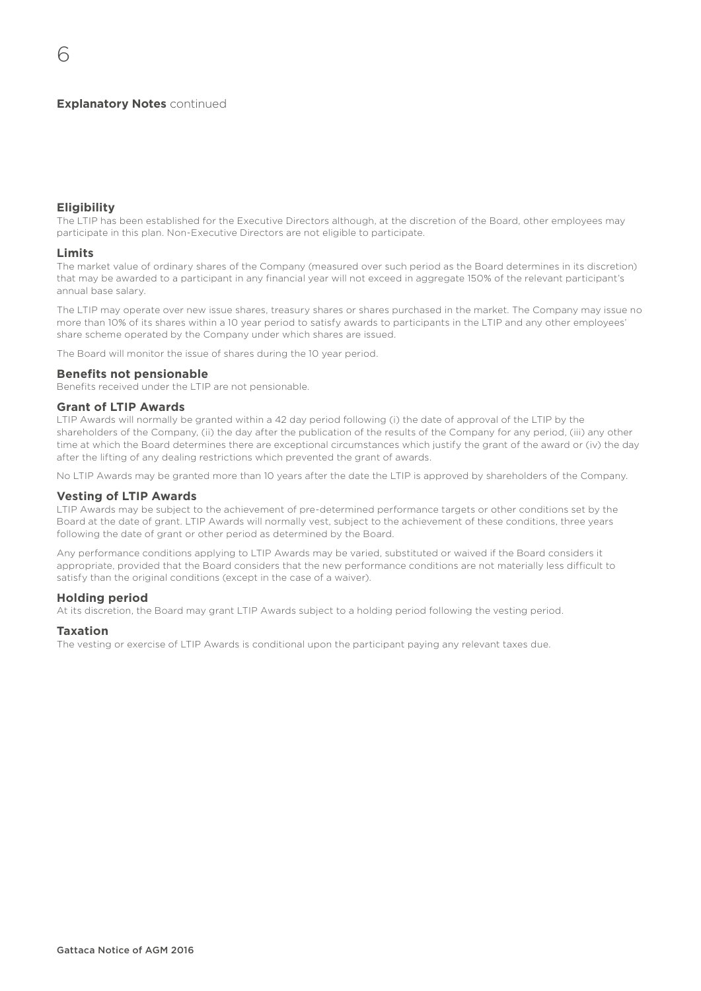## **Explanatory Notes continued**

# **Eligibility**

The LTIP has been established for the Executive Directors although, at the discretion of the Board, other employees may participate in this plan. Non-Executive Directors are not eligible to participate.

### **Limits**

The market value of ordinary shares of the Company (measured over such period as the Board determines in its discretion) that may be awarded to a participant in any financial year will not exceed in aggregate 150% of the relevant participant's annual base salary.

The LTIP may operate over new issue shares, treasury shares or shares purchased in the market. The Company may issue no more than 10% of its shares within a 10 year period to satisfy awards to participants in the LTIP and any other employees' share scheme operated by the Company under which shares are issued.

The Board will monitor the issue of shares during the 10 year period.

#### **Benefits not pensionable**

Benefits received under the LTIP are not pensionable.

# **Grant of LTIP Awards**

LTIP Awards will normally be granted within a 42 day period following (i) the date of approval of the LTIP by the shareholders of the Company, (ii) the day after the publication of the results of the Company for any period, (iii) any other time at which the Board determines there are exceptional circumstances which justify the grant of the award or (iv) the day after the lifting of any dealing restrictions which prevented the grant of awards.

No LTIP Awards may be granted more than 10 years after the date the LTIP is approved by shareholders of the Company.

## **Vesting of LTIP Awards**

LTIP Awards may be subject to the achievement of pre-determined performance targets or other conditions set by the Board at the date of grant. LTIP Awards will normally vest, subject to the achievement of these conditions, three years following the date of grant or other period as determined by the Board.

Any performance conditions applying to LTIP Awards may be varied, substituted or waived if the Board considers it appropriate, provided that the Board considers that the new performance conditions are not materially less difficult to satisfy than the original conditions (except in the case of a waiver).

## **Holding period**

At its discretion, the Board may grant LTIP Awards subject to a holding period following the vesting period.

### **Taxation**

The vesting or exercise of LTIP Awards is conditional upon the participant paying any relevant taxes due.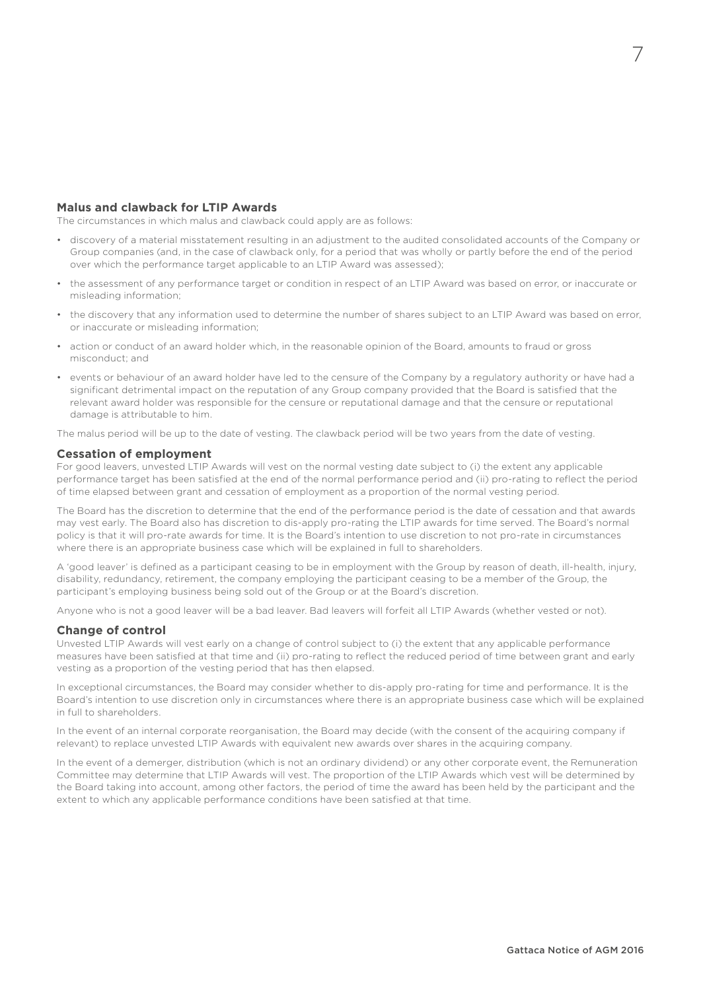## **Malus and clawback for LTIP Awards**

The circumstances in which malus and clawback could apply are as follows:

- discovery of a material misstatement resulting in an adjustment to the audited consolidated accounts of the Company or Group companies (and, in the case of clawback only, for a period that was wholly or partly before the end of the period over which the performance target applicable to an LTIP Award was assessed);
- the assessment of any performance target or condition in respect of an LTIP Award was based on error, or inaccurate or misleading information;
- the discovery that any information used to determine the number of shares subject to an LTIP Award was based on error, or inaccurate or misleading information;
- action or conduct of an award holder which, in the reasonable opinion of the Board, amounts to fraud or gross misconduct; and
- events or behaviour of an award holder have led to the censure of the Company by a regulatory authority or have had a significant detrimental impact on the reputation of any Group company provided that the Board is satisfied that the relevant award holder was responsible for the censure or reputational damage and that the censure or reputational damage is attributable to him.

The malus period will be up to the date of vesting. The clawback period will be two years from the date of vesting.

#### **Cessation of employment**

For good leavers, unvested LTIP Awards will vest on the normal vesting date subject to (i) the extent any applicable performance target has been satisfied at the end of the normal performance period and (ii) pro-rating to reflect the period of time elapsed between grant and cessation of employment as a proportion of the normal vesting period.

The Board has the discretion to determine that the end of the performance period is the date of cessation and that awards may vest early. The Board also has discretion to dis-apply pro-rating the LTIP awards for time served. The Board's normal policy is that it will pro-rate awards for time. It is the Board's intention to use discretion to not pro-rate in circumstances where there is an appropriate business case which will be explained in full to shareholders.

A 'good leaver' is defined as a participant ceasing to be in employment with the Group by reason of death, ill-health, injury, disability, redundancy, retirement, the company employing the participant ceasing to be a member of the Group, the participant's employing business being sold out of the Group or at the Board's discretion.

Anyone who is not a good leaver will be a bad leaver. Bad leavers will forfeit all LTIP Awards (whether vested or not).

### **Change of control**

Unvested LTIP Awards will vest early on a change of control subject to (i) the extent that any applicable performance measures have been satisfied at that time and (ii) pro-rating to reflect the reduced period of time between grant and early vesting as a proportion of the vesting period that has then elapsed.

In exceptional circumstances, the Board may consider whether to dis-apply pro-rating for time and performance. It is the Board's intention to use discretion only in circumstances where there is an appropriate business case which will be explained in full to shareholders.

In the event of an internal corporate reorganisation, the Board may decide (with the consent of the acquiring company if relevant) to replace unvested LTIP Awards with equivalent new awards over shares in the acquiring company.

In the event of a demerger, distribution (which is not an ordinary dividend) or any other corporate event, the Remuneration Committee may determine that LTIP Awards will vest. The proportion of the LTIP Awards which vest will be determined by the Board taking into account, among other factors, the period of time the award has been held by the participant and the extent to which any applicable performance conditions have been satisfied at that time.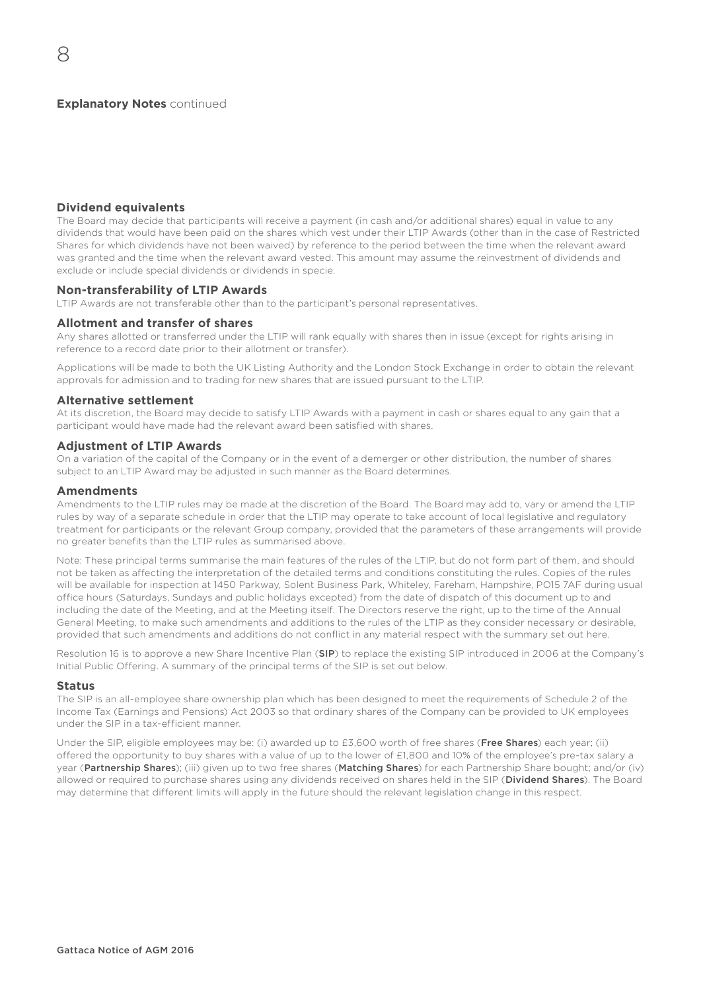## **Dividend equivalents**

8

The Board may decide that participants will receive a payment (in cash and/or additional shares) equal in value to any dividends that would have been paid on the shares which vest under their LTIP Awards (other than in the case of Restricted Shares for which dividends have not been waived) by reference to the period between the time when the relevant award was granted and the time when the relevant award vested. This amount may assume the reinvestment of dividends and exclude or include special dividends or dividends in specie.

#### **Non-transferability of LTIP Awards**

LTIP Awards are not transferable other than to the participant's personal representatives.

#### **Allotment and transfer of shares**

Any shares allotted or transferred under the LTIP will rank equally with shares then in issue (except for rights arising in reference to a record date prior to their allotment or transfer).

Applications will be made to both the UK Listing Authority and the London Stock Exchange in order to obtain the relevant approvals for admission and to trading for new shares that are issued pursuant to the LTIP.

#### **Alternative settlement**

At its discretion, the Board may decide to satisfy LTIP Awards with a payment in cash or shares equal to any gain that a participant would have made had the relevant award been satisfied with shares.

## **Adjustment of LTIP Awards**

On a variation of the capital of the Company or in the event of a demerger or other distribution, the number of shares subject to an LTIP Award may be adjusted in such manner as the Board determines.

#### **Amendments**

Amendments to the LTIP rules may be made at the discretion of the Board. The Board may add to, vary or amend the LTIP rules by way of a separate schedule in order that the LTIP may operate to take account of local legislative and regulatory treatment for participants or the relevant Group company, provided that the parameters of these arrangements will provide no greater benefits than the LTIP rules as summarised above.

Note: These principal terms summarise the main features of the rules of the LTIP, but do not form part of them, and should not be taken as affecting the interpretation of the detailed terms and conditions constituting the rules. Copies of the rules will be available for inspection at 1450 Parkway, Solent Business Park, Whiteley, Fareham, Hampshire, PO15 7AF during usual office hours (Saturdays, Sundays and public holidays excepted) from the date of dispatch of this document up to and including the date of the Meeting, and at the Meeting itself. The Directors reserve the right, up to the time of the Annual General Meeting, to make such amendments and additions to the rules of the LTIP as they consider necessary or desirable, provided that such amendments and additions do not conflict in any material respect with the summary set out here.

Resolution 16 is to approve a new Share Incentive Plan (SIP) to replace the existing SIP introduced in 2006 at the Company's Initial Public Offering. A summary of the principal terms of the SIP is set out below.

### **Status**

The SIP is an all-employee share ownership plan which has been designed to meet the requirements of Schedule 2 of the Income Tax (Earnings and Pensions) Act 2003 so that ordinary shares of the Company can be provided to UK employees under the SIP in a tax-efficient manner.

Under the SIP, eligible employees may be: (i) awarded up to £3,600 worth of free shares (Free Shares) each year; (ii) offered the opportunity to buy shares with a value of up to the lower of £1,800 and 10% of the employee's pre-tax salary a year (Partnership Shares); (iii) given up to two free shares (Matching Shares) for each Partnership Share bought; and/or (iv) allowed or required to purchase shares using any dividends received on shares held in the SIP (Dividend Shares). The Board may determine that different limits will apply in the future should the relevant legislation change in this respect.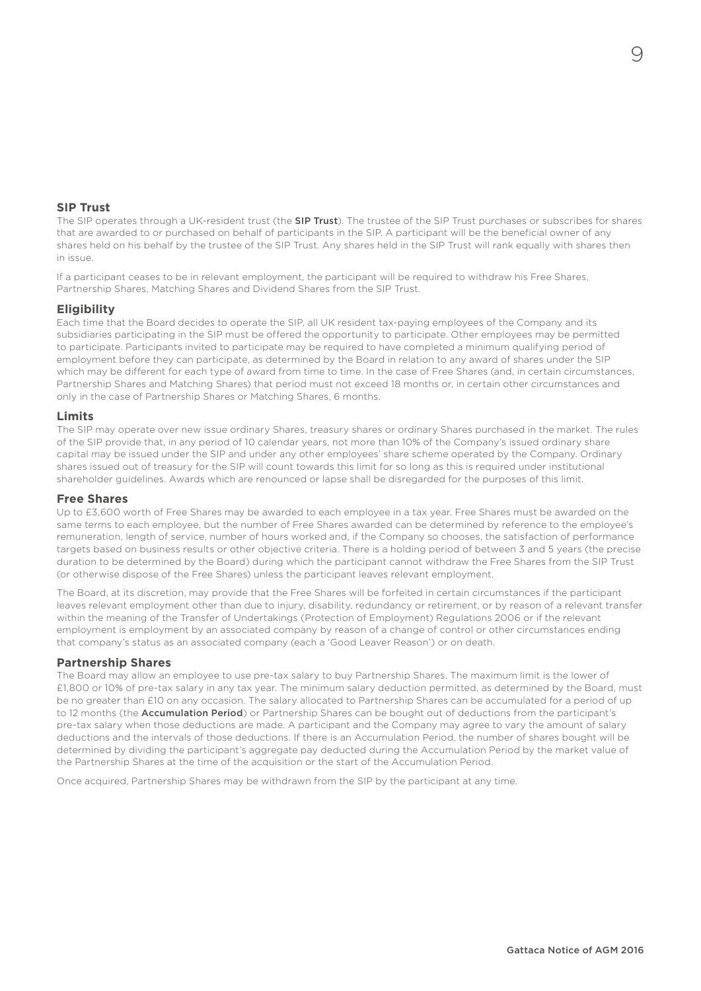# **SIP Trust**

The SIP operates through a UK-resident trust (the SIP Trust). The trustee of the SIP Trust purchases or subscribes for shares that are awarded to or purchased on behalf of participants in the SIP. A participant will be the beneficial owner of any shares held on his behalf by the trustee of the SIP Trust. Any shares held in the SIP Trust will rank equally with shares then in issue.

If a participant ceases to be in relevant employment, the participant will be required to withdraw his Free Shares, Partnership Shares, Matching Shares and Dividend Shares from the SIP Trust.

### **Eligibility**

Each time that the Board decides to operate the SIP, all UK resident tax-paying employees of the Company and its subsidiaries participating in the SIP must be offered the opportunity to participate. Other employees may be permitted to participate. Participants invited to participate may be required to have completed a minimum qualifying period of employment before they can participate, as determined by the Board in relation to any award of shares under the SIP which may be different for each type of award from time to time. In the case of Free Shares (and, in certain circumstances, Partnership Shares and Matching Shares) that period must not exceed 18 months or, in certain other circumstances and only in the case of Partnership Shares or Matching Shares, 6 months.

## **Limits**

The SIP may operate over new issue ordinary Shares, treasury shares or ordinary Shares purchased in the market. The rules of the SIP provide that, in any period of 10 calendar years, not more than 10% of the Company's issued ordinary share capital may be issued under the SIP and under any other employees' share scheme operated by the Company. Ordinary shares issued out of treasury for the SIP will count towards this limit for so long as this is required under institutional shareholder guidelines. Awards which are renounced or lapse shall be disregarded for the purposes of this limit.

### **Free Shares**

Up to £3,600 worth of Free Shares may be awarded to each employee in a tax year. Free Shares must be awarded on the same terms to each employee, but the number of Free Shares awarded can be determined by reference to the employee's remuneration, length of service, number of hours worked and, if the Company so chooses, the satisfaction of performance targets based on business results or other objective criteria. There is a holding period of between 3 and 5 years (the precise duration to be determined by the Board) during which the participant cannot withdraw the Free Shares from the SIP Trust (or otherwise dispose of the Free Shares) unless the participant leaves relevant employment.

The Board, at its discretion, may provide that the Free Shares will be forfeited in certain circumstances if the participant leaves relevant employment other than due to injury, disability, redundancy or retirement, or by reason of a relevant transfer within the meaning of the Transfer of Undertakings (Protection of Employment) Regulations 2006 or if the relevant employment is employment by an associated company by reason of a change of control or other circumstances ending that company's status as an associated company (each a 'Good Leaver Reason') or on death.

## **Partnership Shares**

The Board may allow an employee to use pre-tax salary to buy Partnership Shares. The maximum limit is the lower of £1,800 or 10% of pre-tax salary in any tax year. The minimum salary deduction permitted, as determined by the Board, must be no greater than £10 on any occasion. The salary allocated to Partnership Shares can be accumulated for a period of up to 12 months (the Accumulation Period) or Partnership Shares can be bought out of deductions from the participant's pre-tax salary when those deductions are made. A participant and the Company may agree to vary the amount of salary deductions and the intervals of those deductions. If there is an Accumulation Period, the number of shares bought will be determined by dividing the participant's aggregate pay deducted during the Accumulation Period by the market value of the Partnership Shares at the time of the acquisition or the start of the Accumulation Period.

Once acquired, Partnership Shares may be withdrawn from the SIP by the participant at any time.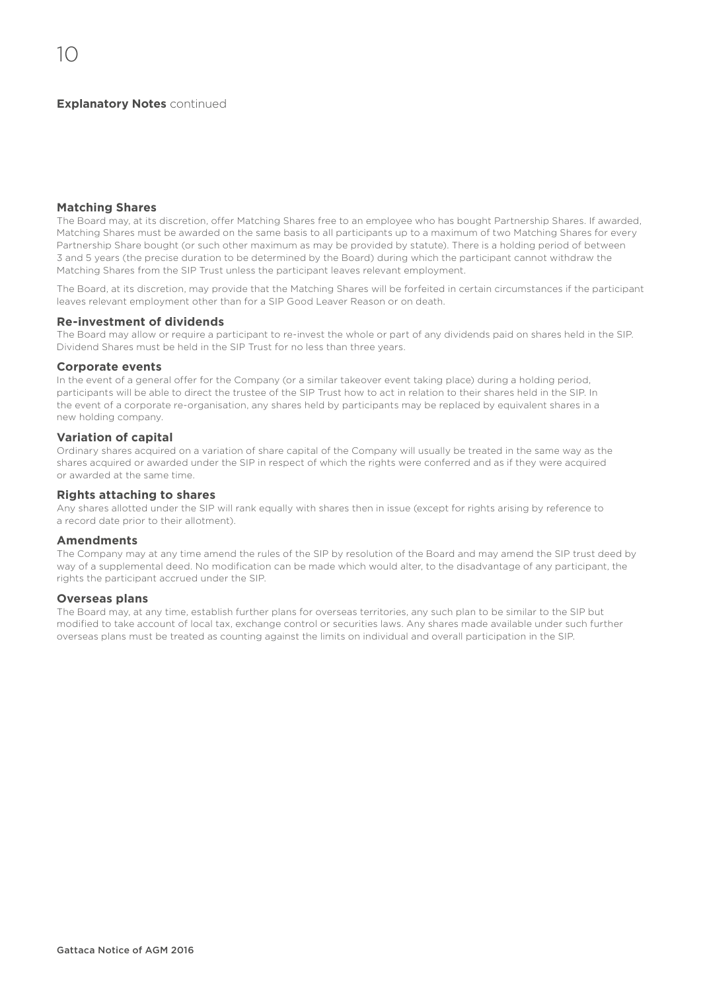## **Explanatory Notes continued**

## **Matching Shares**

The Board may, at its discretion, offer Matching Shares free to an employee who has bought Partnership Shares. If awarded, Matching Shares must be awarded on the same basis to all participants up to a maximum of two Matching Shares for every Partnership Share bought (or such other maximum as may be provided by statute). There is a holding period of between 3 and 5 years (the precise duration to be determined by the Board) during which the participant cannot withdraw the Matching Shares from the SIP Trust unless the participant leaves relevant employment.

The Board, at its discretion, may provide that the Matching Shares will be forfeited in certain circumstances if the participant leaves relevant employment other than for a SIP Good Leaver Reason or on death.

## **Re-investment of dividends**

The Board may allow or require a participant to re-invest the whole or part of any dividends paid on shares held in the SIP. Dividend Shares must be held in the SIP Trust for no less than three years.

#### **Corporate events**

In the event of a general offer for the Company (or a similar takeover event taking place) during a holding period, participants will be able to direct the trustee of the SIP Trust how to act in relation to their shares held in the SIP. In the event of a corporate re-organisation, any shares held by participants may be replaced by equivalent shares in a new holding company.

# **Variation of capital**

Ordinary shares acquired on a variation of share capital of the Company will usually be treated in the same way as the shares acquired or awarded under the SIP in respect of which the rights were conferred and as if they were acquired or awarded at the same time.

## **Rights attaching to shares**

Any shares allotted under the SIP will rank equally with shares then in issue (except for rights arising by reference to a record date prior to their allotment).

### **Amendments**

The Company may at any time amend the rules of the SIP by resolution of the Board and may amend the SIP trust deed by way of a supplemental deed. No modification can be made which would alter, to the disadvantage of any participant, the rights the participant accrued under the SIP.

## **Overseas plans**

The Board may, at any time, establish further plans for overseas territories, any such plan to be similar to the SIP but modified to take account of local tax, exchange control or securities laws. Any shares made available under such further overseas plans must be treated as counting against the limits on individual and overall participation in the SIP.